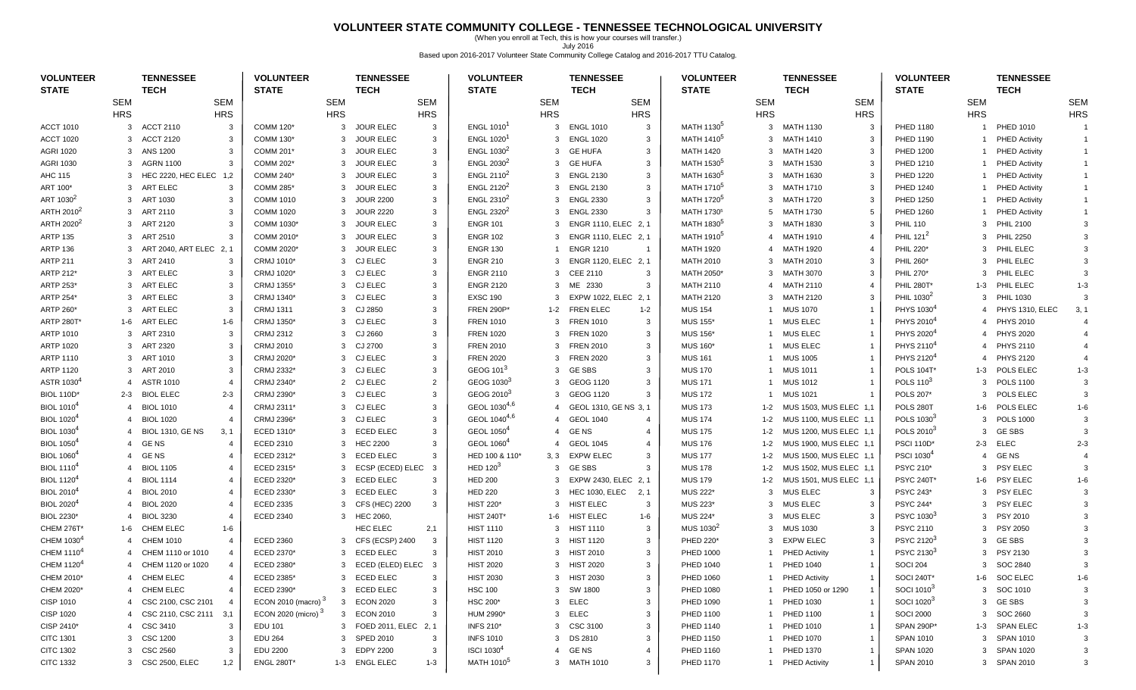### **VOLUNTEER STATE COMMUNITY COLLEGE - TENNESSEE TECHNOLOGICAL UNIVERSITY**

(When you enroll at Tech, this is how your courses will transfer.) July 2016 Based upon 2016-2017 Volunteer State Community College Catalog and 2016-2017 TTU Catalog.

| <b>VOLUNTEER</b><br><b>STATE</b> |                | <b>TENNESSEE</b><br><b>TECH</b>           | <b>VOLUNTEER</b><br><b>STATE</b> |              | <b>TENNESSEE</b><br><b>TECH</b> |                         | <b>VOLUNTEER</b><br><b>STATE</b> |            | <b>TENNESSEE</b><br><b>TECH</b> |                | <b>VOLUNTEER</b><br><b>STATE</b> |                | <b>TENNESSEE</b><br><b>TECH</b> |                        | <b>VOLUNTEER</b><br><b>STATE</b> |                | <b>TENNESSEE</b><br><b>TECH</b> |               |
|----------------------------------|----------------|-------------------------------------------|----------------------------------|--------------|---------------------------------|-------------------------|----------------------------------|------------|---------------------------------|----------------|----------------------------------|----------------|---------------------------------|------------------------|----------------------------------|----------------|---------------------------------|---------------|
|                                  | <b>SEM</b>     | <b>SEM</b>                                |                                  | <b>SEM</b>   |                                 | <b>SEM</b>              |                                  | <b>SEM</b> |                                 | <b>SEM</b>     |                                  | <b>SEM</b>     |                                 | <b>SEM</b>             |                                  | <b>SEM</b>     |                                 | <b>SEM</b>    |
|                                  | <b>HRS</b>     | <b>HRS</b>                                |                                  | <b>HRS</b>   |                                 | <b>HRS</b>              |                                  | <b>HRS</b> |                                 | <b>HRS</b>     |                                  | <b>HRS</b>     |                                 | <b>HRS</b>             |                                  | <b>HRS</b>     |                                 | <b>HRS</b>    |
| <b>ACCT 1010</b>                 | 3              | <b>ACCT 2110</b><br>-3                    | COMM 120*                        | 3            | <b>JOUR ELEC</b>                | 3                       | ENGL 1010 <sup>1</sup>           |            | 3 ENGL 1010                     | $\mathbf{3}$   | MATH 1130 <sup>5</sup>           | 3              | <b>MATH 1130</b>                | $\mathbf{3}$           | PHED 1180                        |                | PHED 1010                       |               |
| <b>ACCT 1020</b>                 | 3              | <b>ACCT 2120</b><br>3                     | COMM 130*                        | 3            | <b>JOUR ELEC</b>                | 3                       | ENGL 1020 <sup>1</sup>           |            | 3 ENGL 1020                     | 3              | MATH 1410 <sup>5</sup>           | 3              | <b>MATH 1410</b>                | -3                     | PHED 1190                        |                | <b>PHED Activity</b>            | $\mathbf{1}$  |
| <b>AGRI 1020</b>                 | 3              | ANS 1200<br>3                             | <b>COMM 201*</b>                 | 3            | <b>JOUR ELEC</b>                | 3                       | ENGL 1030 <sup>2</sup>           |            | 3 GE HUFA                       | 3              | <b>MATH 1420</b>                 |                | 3 MATH 1420                     | 3                      | <b>PHED 1200</b>                 |                | <b>PHED Activity</b>            |               |
| <b>AGRI 1030</b>                 | 3              | AGRN 1100<br>3                            | COMM 202*                        | 3            | <b>JOUR ELEC</b>                | $\mathbf{3}$            | ENGL 2030 <sup>2</sup>           |            | 3 GE HUFA                       | 3              | MATH 1530 <sup>5</sup>           | 3              | MATH 1530                       | $\mathbf{3}$           | PHED 1210                        | $\mathbf{1}$   | <b>PHED Activity</b>            |               |
| AHC 115                          | 3              | HEC 2220, HEC ELEC 1,2                    | COMM 240*                        | 3            | <b>JOUR ELEC</b>                | 3                       | ENGL 2110 <sup>2</sup>           |            | 3 ENGL 2130                     | 3              | MATH 1630 <sup>5</sup>           | 3              | MATH 1630                       | $\mathbf{3}$           | <b>PHED 1220</b>                 |                | <b>PHED Activity</b>            |               |
| ART 100*                         | 3              | ART ELEC<br>3                             | <b>COMM 285*</b>                 | 3            | <b>JOUR ELEC</b>                | 3                       | ENGL 2120 <sup>2</sup>           |            | 3 ENGL 2130                     | 3              | MATH 1710 <sup>5</sup>           | 3              | <b>MATH 1710</b>                | $\mathbf{3}$           | <b>PHED 1240</b>                 |                | <b>PHED Activity</b>            |               |
| ART 1030 <sup>2</sup>            | 3              | ART 1030<br>3                             | <b>COMM 1010</b>                 | 3            | <b>JOUR 2200</b>                | 3                       | ENGL 2310 <sup>2</sup>           |            | 3 ENGL 2330                     | 3              | MATH 1720 <sup>5</sup>           | 3              | <b>MATH 1720</b>                | 3                      | <b>PHED 1250</b>                 |                | <b>PHED Activity</b>            | $\mathbf{1}$  |
| ARTH 2010 <sup>2</sup>           |                | 3 ART 2110<br>3                           | <b>COMM 1020</b>                 | 3            | <b>JOUR 2220</b>                | 3                       | ENGL 2320 <sup>2</sup>           |            | 3 ENGL 2330                     | 3              | MATH 1730 <sup>5</sup>           |                | 5 MATH 1730                     | 5                      | <b>PHED 1260</b>                 |                | <b>PHED Activity</b>            |               |
| ARTH 2020 <sup>2</sup>           |                | 3 ART 2120<br>3                           | COMM 1030*                       | 3            | <b>JOUR ELEC</b>                | 3                       | <b>ENGR 101</b>                  |            | 3 ENGR 1110, ELEC 2, 1          |                | MATH 1830 <sup>5</sup>           |                | 3 MATH 1830                     | 3                      | <b>PHIL 110</b>                  | 3              | <b>PHIL 2100</b>                |               |
| <b>ARTP 135</b>                  | 3              | ART 2510<br>3                             | COMM 2010*                       | 3            | <b>JOUR ELEC</b>                | 3                       | <b>ENGR 102</b>                  |            | ENGR 1110, ELEC 2, 1            |                | MATH 1910 <sup>5</sup>           | $\overline{4}$ | MATH 1910                       |                        | PHIL 121 <sup>2</sup>            | 3              | <b>PHIL 2250</b>                |               |
| <b>ARTP 136</b>                  | 3              | ART 2040, ART ELEC 2, 1                   | COMM 2020*                       | 3            | <b>JOUR ELEC</b>                | 3                       | <b>ENGR 130</b>                  |            | <b>ENGR 1210</b>                | $\overline{1}$ | <b>MATH 1920</b>                 | 4              | MATH 1920                       | $\overline{4}$         | PHIL 220*                        | 3              | PHIL ELEC                       |               |
| <b>ARTP 211</b>                  | 3              | ART 2410<br>3                             | CRMJ 1010*                       | 3            | <b>CJ ELEC</b>                  | 3                       | <b>ENGR 210</b>                  |            | 3 ENGR 1120, ELEC 2, 1          |                | <b>MATH 2010</b>                 | 3              | MATH 2010                       | 3                      | PHIL 260*                        | 3              | PHIL ELEC                       |               |
| ARTP 212*                        | 3              | ART ELEC<br>3                             | CRMJ 1020*                       | 3            | CJ ELEC                         | 3                       | <b>ENGR 2110</b>                 |            | 3 CEE 2110                      | 3              | MATH 2050*                       | 3              | MATH 3070                       | 3                      | PHIL 270*                        | 3              | PHIL ELEC                       |               |
| ARTP 253*                        | 3              | ART ELEC<br>3                             | CRMJ 1355*                       | 3            | CJ ELEC                         | 3                       | <b>ENGR 2120</b>                 |            | 3 ME 2330                       | 3              | <b>MATH 2110</b>                 | 4              | MATH 2110                       | $\boldsymbol{\Lambda}$ | <b>PHIL 280T*</b>                | 1-3            | PHIL ELEC                       | $1 - 3$       |
| ARTP 254*                        | 3              | ART ELEC<br>3                             | CRMJ 1340*                       | 3            | <b>CJ ELEC</b>                  | 3                       | <b>EXSC 190</b>                  | 3          | EXPW 1022, ELEC 2, 1            |                | <b>MATH 2120</b>                 | 3              | MATH 2120                       | 3                      | PHIL 1030 <sup>2</sup>           | 3              | <b>PHIL 1030</b>                |               |
| ARTP 260*                        | 3              | ART ELEC<br>3                             | <b>CRMJ 1311</b>                 | 3            | CJ 2850                         | 3                       | <b>FREN 290P*</b>                | $1 - 2$    | <b>FREN ELEC</b>                | 1-2            | <b>MUS 154</b>                   |                | <b>MUS 1070</b>                 |                        | PHYS 1030 <sup>4</sup>           | $\overline{4}$ | PHYS 1310, ELEC                 | 3, 1          |
| <b>ARTP 280T*</b>                | 1-6            | ART ELEC<br>1-6                           | CRMJ 1350*                       | 3            | <b>CJ ELEC</b>                  | 3                       | <b>FREN 1010</b>                 |            | 3 FREN 1010                     | 3              | <b>MUS 155*</b>                  |                | <b>MUS ELEC</b>                 |                        | PHYS 2010 <sup>4</sup>           | $\overline{4}$ | <b>PHYS 2010</b>                |               |
| ARTP 1010                        | 3              | ART 2310<br>3                             | <b>CRMJ 2312</b>                 | 3            | CJ 2660                         | 3                       | <b>FREN 1020</b>                 |            | 3 FREN 1020                     | 3              | <b>MUS 156*</b>                  |                | 1 MUS ELEC                      |                        | PHYS 2020 <sup>4</sup>           | $\overline{4}$ | <b>PHYS 2020</b>                |               |
| <b>ARTP 1020</b>                 | 3              | ART 2320<br>3                             | <b>CRMJ 2010</b>                 |              | 3 CJ 2700                       | 3                       | <b>FREN 2010</b>                 |            | 3 FREN 2010                     | 3              | <b>MUS 160*</b>                  | 1              | <b>MUS ELEC</b>                 |                        | PHYS 2110 <sup>4</sup>           | $\overline{4}$ | <b>PHYS 2110</b>                |               |
| ARTP 1110                        | 3              | ART 1010<br>3                             | CRMJ 2020*                       | 3            | <b>CJ ELEC</b>                  | 3                       | <b>FREN 2020</b>                 |            | 3 FREN 2020                     | 3              | <b>MUS 161</b>                   |                | <b>MUS 1005</b>                 |                        | PHYS 2120 <sup>4</sup>           | 4              | <b>PHYS 2120</b>                |               |
| <b>ARTP 1120</b>                 | 3              | ART 2010<br>3                             | CRMJ 2332*                       | 3            | <b>CJ ELEC</b>                  | 3                       | GEOG 101 <sup>3</sup>            |            | 3 GESBS                         | 3              | <b>MUS 170</b>                   |                | <b>MUS 1011</b>                 |                        | <b>POLS 104T*</b>                | $1 - 3$        | POLS ELEC                       | $1 - 3$       |
| ASTR 1030 <sup>4</sup>           | $\overline{4}$ | <b>ASTR 1010</b><br>$\overline{4}$        | CRMJ 2340*                       | 2            | <b>CJ ELEC</b>                  | $\overline{2}$          | GEOG 1030 <sup>3</sup>           |            | 3 GEOG 1120                     | 3              | <b>MUS 171</b>                   |                | MUS 1012                        |                        | POLS 110 <sup>3</sup>            | 3              | <b>POLS 1100</b>                | $\mathcal{R}$ |
| <b>BIOL 110D*</b>                |                | 2-3 BIOL ELEC<br>$2 - 3$                  | CRMJ 2390*                       | 3            | <b>CJ ELEC</b>                  | 3                       | GEOG 2010 <sup>3</sup>           |            | 3 GEOG 1120                     | 3              | <b>MUS 172</b>                   |                | 1 MUS 1021                      |                        | POLS 207'                        | 3              | POLS ELEC                       |               |
| <b>BIOL 1010<sup>4</sup></b>     | $\overline{4}$ | <b>BIOL 1010</b><br>$\overline{4}$        | CRMJ 2311*                       |              | 3 CJ ELEC                       | 3                       | GEOL 1030 <sup>4,6</sup>         |            | 4 GEOL 1310, GE NS 3, 1         |                | <b>MUS 173</b>                   | 1-2            | MUS 1503, MUS ELEC 1,1          |                        | POLS 280T                        | $1 - 6$        | POLS ELEC                       | $1 - 6$       |
| <b>BIOL 1020<sup>4</sup></b>     | 4              | <b>BIOL 1020</b><br>$\overline{4}$        | CRMJ 2396*                       | 3            | <b>CJ ELEC</b>                  | 3                       | GEOL 1040 <sup>4,6</sup>         |            | 4 GEOL 1040                     | $\overline{4}$ | <b>MUS 174</b>                   | 1-2            | MUS 1100, MUS ELEC 1,1          |                        | POLS 1030 <sup>3</sup>           | 3              | <b>POLS 1000</b>                |               |
| <b>BIOL 1030</b>                 | 4              | <b>BIOL 1310, GE NS</b><br>3, 1           | ECED 1310*                       | 3            | <b>ECED ELEC</b>                | 3                       | GEOL 1050 <sup>4</sup>           |            | 4 GENS                          | $\overline{4}$ | <b>MUS 175</b>                   | $1 - 2$        | MUS 1200, MUS ELEC 1,1          |                        | POLS 2010 <sup>3</sup>           | 3              | <b>GE SBS</b>                   |               |
| <b>BIOL 1050</b> <sup>4</sup>    | $\overline{4}$ | <b>GENS</b><br>$\overline{a}$             | ECED 2310                        | 3            | <b>HEC 2200</b>                 | 3                       | GEOL 1060 <sup>4</sup>           |            | 4 GEOL 1045                     | $\overline{4}$ | <b>MUS 176</b>                   | $1 - 2$        | MUS 1900, MUS ELEC 1,1          |                        | <b>PSCI 110D*</b>                | $2 - 3$        | <b>ELEC</b>                     | $2 - 3$       |
| <b>BIOL 1060<sup>4</sup></b>     | $\overline{4}$ | <b>GE NS</b>                              | ECED 2312*                       |              | 3 ECED ELEC                     | 3                       | HED 100 & 110*                   |            | 3, 3 EXPW ELEC                  | 3              | <b>MUS 177</b>                   | $1 - 2$        | MUS 1500, MUS ELEC 1,1          |                        | PSCI 1030 <sup>4</sup>           | $\overline{4}$ | <b>GE NS</b>                    |               |
| <b>BIOL 1110<sup>4</sup></b>     | 4              | <b>BIOL 1105</b><br>4                     | ECED 2315*                       | 3            | ECSP (ECED) ELEC                | $\overline{\mathbf{3}}$ | HED 120 <sup>3</sup>             |            | 3 GESBS                         | 3              | <b>MUS 178</b>                   | 1-2            | MUS 1502, MUS ELEC 1,1          |                        | PSYC 210*                        | 3              | PSY ELEC                        |               |
| <b>BIOL 1120<sup>4</sup></b>     | 4              | <b>BIOL 1114</b><br>$\boldsymbol{\Delta}$ | ECED 2320*                       | 3            | <b>ECED ELEC</b>                | 3                       | <b>HED 200</b>                   |            | 3 EXPW 2430, ELEC 2, 1          |                | <b>MUS 179</b>                   | 1-2            | MUS 1501, MUS ELEC 1,1          |                        | <b>PSYC 240T'</b>                | 1-6            | <b>PSY ELEC</b>                 | $1 - 6$       |
| <b>BIOL 2010<sup>4</sup></b>     | 4              | <b>BIOL 2010</b><br>4                     | ECED 2330*                       | 3            | <b>ECED ELEC</b>                | 3                       | <b>HED 220</b>                   |            | 3 HEC 1030, ELEC                | 2, 1           | MUS 222*                         | 3              | <b>MUS ELEC</b>                 | $\mathbf{3}$           | PSYC 243*                        | 3              | PSY ELEC                        |               |
| <b>BIOL 2020<sup>4</sup></b>     | $\overline{4}$ | <b>BIOL 2020</b><br>$\boldsymbol{\Delta}$ | <b>ECED 2335</b>                 | 3            | CFS (HEC) 2200                  | $\mathbf{3}$            | <b>HIST 220*</b>                 |            | 3 HIST ELEC                     | 3              | MUS 223*                         | 3              | <b>MUS ELEC</b>                 | 3                      | PSYC 244*                        | 3              | PSY ELEC                        |               |
| BIOL 2230*                       |                | <b>BIOL 3230</b><br>$\sqrt{2}$            | ECED 2340                        |              | 3 HEC 2060,                     |                         | <b>HIST 240T*</b>                |            | 1-6 HIST ELEC                   | $1 - 6$        | MUS 224*                         | 3              | <b>MUS ELEC</b>                 |                        | PSYC 1030 <sup>3</sup>           | 3              | PSY 2010                        |               |
| <b>CHEM 276T*</b>                | 1-6            | <b>CHEM ELEC</b><br>1-6                   |                                  |              | <b>HEC ELEC</b>                 | 2,1                     | HIST 1110                        |            | 3 HIST 1110                     | 3              | MUS 1030 <sup>2</sup>            |                | 3 MUS 1030                      | $\mathbf{3}$           | PSYC 2110                        | $\mathbf{3}$   | <b>PSY 2050</b>                 |               |
| CHEM 1030 <sup>4</sup>           |                | CHEM 1010<br>$\overline{4}$               | <b>ECED 2360</b>                 | 3            | CFS (ECSP) 2400                 | $\overline{3}$          | <b>HIST 1120</b>                 |            | 3 HIST 1120                     | 3              | PHED 220*                        | 3              | <b>EXPW ELEC</b>                | $\mathbf{3}$           | PSYC 2120 <sup>3</sup>           | 3              | <b>GE SBS</b>                   |               |
| CHEM 1110 <sup>4</sup>           |                | CHEM 1110 or 1010<br>4                    | ECED 2370*                       | 3            | <b>ECED ELEC</b>                | $\mathbf{3}$            | <b>HIST 2010</b>                 |            | 3 HIST 2010                     | 3              | <b>PHED 1000</b>                 |                | <b>PHED Activity</b>            |                        | PSYC 2130 <sup>3</sup>           | 3              | PSY 2130                        |               |
| CHEM 1120 <sup>4</sup>           |                | 4 CHEM 1120 or 1020<br>4                  | ECED 2380*                       |              | 3 ECED (ELED) ELEC 3            |                         | <b>HIST 2020</b>                 |            | 3 HIST 2020                     | 3              | <b>PHED 1040</b>                 |                | 1 PHED 1040                     |                        | <b>SOCI 204</b>                  |                | 3 SOC 2840                      | 3             |
| CHEM 2010*                       | 4              | <b>CHEM ELEC</b><br>4                     | ECED 2385*                       |              | 3 ECED ELEC                     | 3                       | <b>HIST 2030</b>                 |            | 3 HIST 2030                     | 3              | PHED 1060                        |                | <b>PHED Activity</b>            |                        | SOCI 240T                        |                | 1-6 SOC ELEC                    | 1-6           |
| CHEM 2020*                       | 4              | <b>CHEM ELEC</b><br>4                     | ECED 2390*                       |              | 3 ECED ELEC                     | 3                       | <b>HSC 100</b>                   |            | 3 SW 1800                       | 3              | PHED 1080                        |                | PHED 1050 or 1290               |                        | SOCI 1010 <sup>3</sup>           |                | 3 SOC 1010                      |               |
| CISP 1010                        | 4              | CSC 2100, CSC 2101                        | ECON 2010 (macro) $3$            | 3            | <b>ECON 2020</b>                | 3                       | HSC 200*                         |            | 3 ELEC                          | 3              | PHED 1090                        |                | PHED 1030                       |                        | SOCI 1020 <sup>3</sup>           |                | 3 GESBS                         |               |
| <b>CISP 1020</b>                 | 4              | CSC 2110, CSC 2111 3,1                    | ECON 2020 (micro) $3$            | $\mathbf{3}$ | <b>ECON 2010</b>                | 3                       | HUM 2990*                        |            | 3 ELEC                          | 3              | <b>PHED 1100</b>                 |                | <b>PHED 1100</b>                |                        | <b>SOCI 2000</b>                 | 3              | SOC 2660                        |               |
| CISP 2410*                       | $\overline{4}$ | CSC 3410<br>3                             | <b>EDU 101</b>                   |              | 3 FOED 2011, ELEC               | 2, 1                    | <b>INFS 210*</b>                 |            | 3 CSC 3100                      | 3              | <b>PHED 1140</b>                 |                | <b>PHED 1010</b>                |                        | SPAN 290P*                       | 1-3            | <b>SPAN ELEC</b>                | $1 - 3$       |
| <b>CITC 1301</b>                 |                | 3 CSC 1200<br>3                           | <b>EDU 264</b>                   |              | 3 SPED 2010                     | 3                       | <b>INFS 1010</b>                 |            | 3 DS 2810                       | 3              | PHED 1150                        |                | 1 PHED 1070                     |                        | SPAN 1010                        | 3              | SPAN 1010                       |               |
| <b>CITC 1302</b>                 |                | 3 CSC 2560<br>3                           | EDU 2200                         |              | 3 EDPY 2200                     | 3                       | <b>ISCI 1030<sup>4</sup></b>     |            | 4 GENS                          | -4             | PHED 1160                        |                | <b>PHED 1370</b>                |                        | SPAN 1020                        | 3              | SPAN 1020                       |               |
| <b>CITC 1332</b>                 |                | 3 CSC 2500, ELEC<br>1,2                   | <b>ENGL 280T*</b>                |              | 1-3 ENGL ELEC                   | $1 - 3$                 | MATH 1010 <sup>5</sup>           |            | 3 MATH 1010                     | 3              | <b>PHED 1170</b>                 | 1.             | <b>PHED Activity</b>            |                        | SPAN 2010                        |                | 3 SPAN 2010                     |               |
|                                  |                |                                           |                                  |              |                                 |                         |                                  |            |                                 |                |                                  |                |                                 |                        |                                  |                |                                 |               |